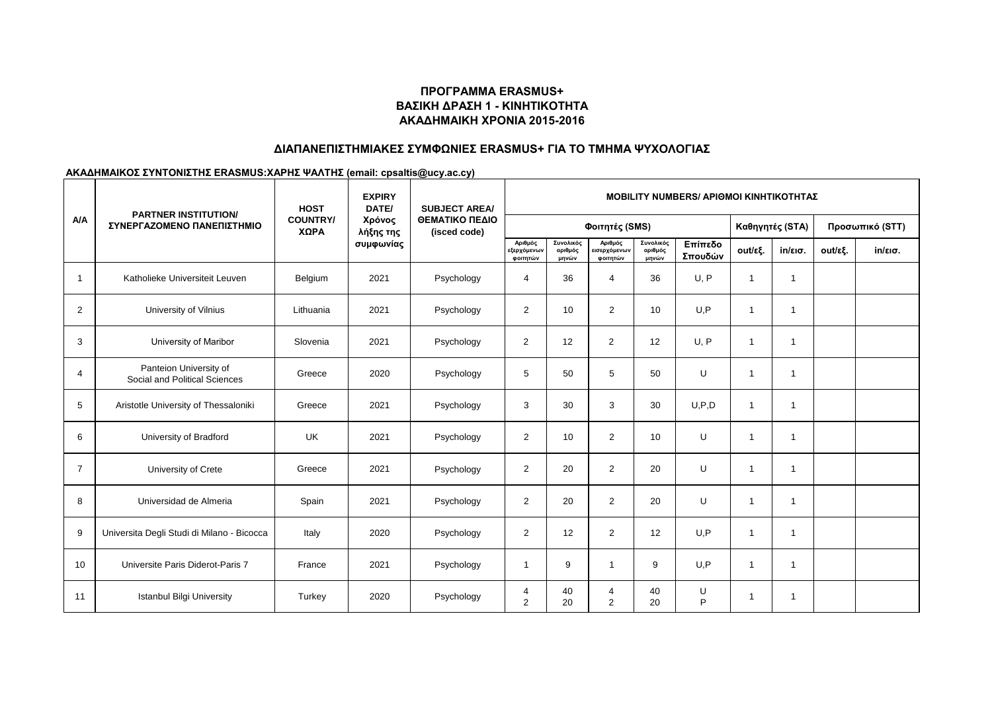# **ΠΡΟΓΡΑΜΜΑ ERASMUS+ ΒΑΣΙΚΗ ΔΡΑΣΗ 1 - ΚΙΝΗΤΙΚΟΤΗΤΑ ΑΚΑΔΗΜΑΙΚΗ ΧΡΟΝΙΑ 2015-2016**

## **ΔΙΑΠΑΝΕΠΙΣΤΗΜΙΑΚΕΣ ΣΥΜΦΩΝΙΕΣ ERASMUS+ ΓΙΑ ΤΟ ΤΜΗΜΑ ΨΥΧΟΛΟΓΙΑΣ**

### **ΑΚΑΔΗΜΑΙΚΟΣ ΣΥΝΤΟΝΙΣΤΗΣ ERASMUS:ΧΑΡΗΣ ΨΑΛΤΗΣ (email: cpsaltis@ucy.ac.cy)**

|                | <b>PARTNER INSTITUTION/</b><br>ΣΥΝΕΡΓΑΖΟΜΕΝΟ ΠΑΝΕΠΙΣΤΗΜΙΟ | <b>HOST</b><br><b>COUNTRY/</b><br>ΧΩΡΑ | <b>EXPIRY</b><br>DATE/<br>Χρόνος<br>λήξης της<br>συμφωνίας | <b>SUBJECT AREA/</b><br>ΘΕΜΑΤΙΚΟ ΠΕΔΙΟ<br>(isced code) | <b>MOBILITY NUMBERS/ APIOMOI KINHTIKOTHTAZ</b> |                               |                                     |                               |                    |              |                   |         |                   |
|----------------|-----------------------------------------------------------|----------------------------------------|------------------------------------------------------------|--------------------------------------------------------|------------------------------------------------|-------------------------------|-------------------------------------|-------------------------------|--------------------|--------------|-------------------|---------|-------------------|
| A/A            |                                                           |                                        |                                                            |                                                        | Φοιτητές (SMS)                                 |                               |                                     |                               |                    |              | Καθηγητές (STA)   |         | Προσωπικό (STT)   |
|                |                                                           |                                        |                                                            |                                                        | Αριθμός<br>εξερχόμενων<br>φοιτητών             | Συνολικός<br>αριθμός<br>μηνών | Αριθμός<br>εισερχόμενων<br>φοιτητών | Συνολικός<br>αριθμός<br>μηνών | Επίπεδο<br>Σπουδών | out/εξ.      | $in/\epsilon$ ισ. | out/εξ. | $in/\epsilon$ ισ. |
| $\overline{1}$ | Katholieke Universiteit Leuven                            | Belgium                                | 2021                                                       | Psychology                                             | $\overline{4}$                                 | 36                            | 4                                   | 36                            | U, P               | $\mathbf{1}$ | $\overline{1}$    |         |                   |
| $\overline{2}$ | University of Vilnius                                     | Lithuania                              | 2021                                                       | Psychology                                             | $\overline{2}$                                 | 10                            | $\overline{2}$                      | 10                            | U.P                | $\mathbf{1}$ | $\overline{1}$    |         |                   |
| 3              | University of Maribor                                     | Slovenia                               | 2021                                                       | Psychology                                             | 2                                              | 12                            | $\overline{2}$                      | 12                            | U, P               | $\mathbf{1}$ | $\overline{1}$    |         |                   |
| $\overline{4}$ | Panteion University of<br>Social and Political Sciences   | Greece                                 | 2020                                                       | Psychology                                             | 5                                              | 50                            | 5                                   | 50                            | U                  | $\mathbf{1}$ | $\overline{1}$    |         |                   |
| 5              | Aristotle University of Thessaloniki                      | Greece                                 | 2021                                                       | Psychology                                             | 3                                              | 30                            | 3                                   | 30                            | U, P, D            | $\mathbf{1}$ | $\overline{1}$    |         |                   |
| 6              | University of Bradford                                    | <b>UK</b>                              | 2021                                                       | Psychology                                             | $\overline{2}$                                 | 10                            | $\overline{2}$                      | 10                            | U                  | $\mathbf{1}$ | $\overline{1}$    |         |                   |
| $\overline{7}$ | University of Crete                                       | Greece                                 | 2021                                                       | Psychology                                             | $\overline{2}$                                 | 20                            | 2                                   | 20                            | U                  | $\mathbf{1}$ | $\overline{1}$    |         |                   |
| 8              | Universidad de Almeria                                    | Spain                                  | 2021                                                       | Psychology                                             | $\overline{2}$                                 | 20                            | $\overline{2}$                      | 20                            | U                  | $\mathbf{1}$ | $\overline{1}$    |         |                   |
| 9              | Universita Degli Studi di Milano - Bicocca                | Italy                                  | 2020                                                       | Psychology                                             | $\overline{2}$                                 | 12                            | $\overline{2}$                      | 12                            | U.P                | $\mathbf{1}$ | $\overline{1}$    |         |                   |
| 10             | Universite Paris Diderot-Paris 7                          | France                                 | 2021                                                       | Psychology                                             | -1                                             | 9                             | $\mathbf 1$                         | 9                             | U.P                | $\mathbf{1}$ | $\overline{1}$    |         |                   |
| 11             | <b>Istanbul Bilgi University</b>                          | Turkey                                 | 2020                                                       | Psychology                                             | 4<br>$\overline{2}$                            | 40<br>20                      | 4<br>$\overline{2}$                 | 40<br>20                      | U<br>P             | $\mathbf{1}$ | $\overline{1}$    |         |                   |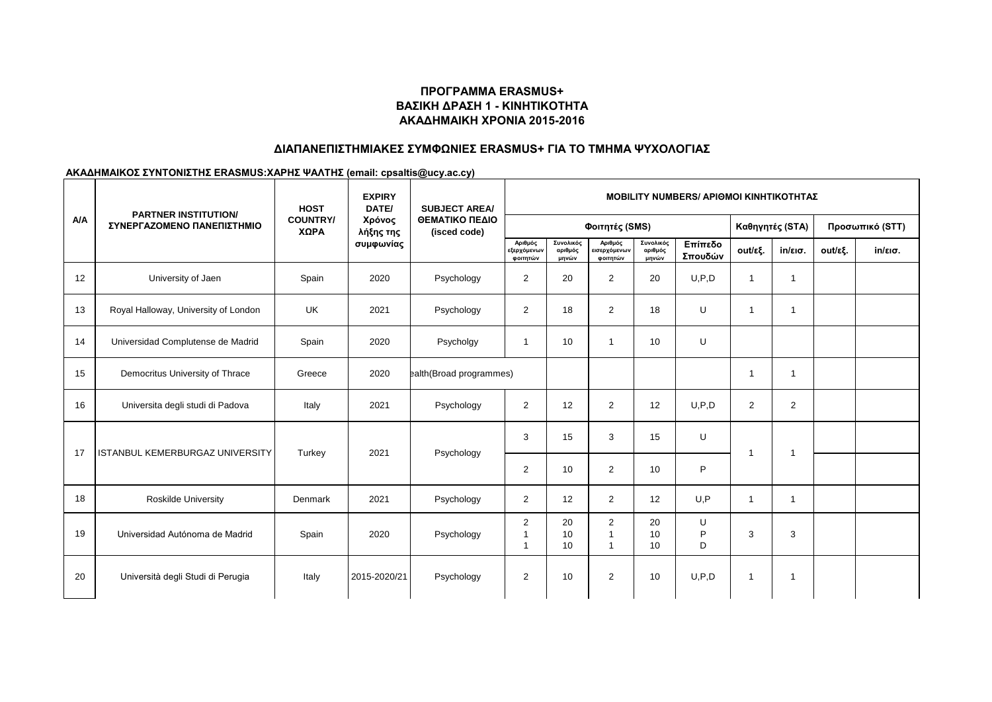# **ΠΡΟΓΡΑΜΜΑ ERASMUS+ ΒΑΣΙΚΗ ΔΡΑΣΗ 1 - ΚΙΝΗΤΙΚΟΤΗΤΑ ΑΚΑΔΗΜΑΙΚΗ ΧΡΟΝΙΑ 2015-2016**

## **ΔΙΑΠΑΝΕΠΙΣΤΗΜΙΑΚΕΣ ΣΥΜΦΩΝΙΕΣ ERASMUS+ ΓΙΑ ΤΟ ΤΜΗΜΑ ΨΥΧΟΛΟΓΙΑΣ**

### **ΑΚΑΔΗΜΑΙΚΟΣ ΣΥΝΤΟΝΙΣΤΗΣ ERASMUS:ΧΑΡΗΣ ΨΑΛΤΗΣ (email: cpsaltis@ucy.ac.cy)**

|     | <b>PARTNER INSTITUTION/</b>            | <b>HOST</b><br><b>COUNTRY/</b><br>ΧΩΡΑ | <b>EXPIRY</b><br>DATE/<br>Χρόνος<br>λήξης της<br>συμφωνίας | <b>SUBJECT AREA/</b><br>ΘΕΜΑΤΙΚΟ ΠΕΔΙΟ<br>(isced code) | <b>MOBILITY NUMBERS/ APIOMOI KINHTIKOTHTAZ</b> |                               |                                                    |                               |                    |                          |                         |         |                   |
|-----|----------------------------------------|----------------------------------------|------------------------------------------------------------|--------------------------------------------------------|------------------------------------------------|-------------------------------|----------------------------------------------------|-------------------------------|--------------------|--------------------------|-------------------------|---------|-------------------|
| A/A | ΣΥΝΕΡΓΑΖΟΜΕΝΟ ΠΑΝΕΠΙΣΤΗΜΙΟ             |                                        |                                                            |                                                        |                                                |                               | Φοιτητές (SMS)                                     |                               | Καθηγητές (STA)    |                          | Προσωπικό (STT)         |         |                   |
|     |                                        |                                        |                                                            |                                                        | Αριθμός<br>εξερχόμενων<br>φοιτητών             | Συνολικός<br>αριθμός<br>μηνών | Αριθμός<br>εισερχόμενων<br>φοιτητών                | Συνολικός<br>αριθμός<br>μηνών | Επίπεδο<br>Σπουδών | out/εξ.                  | $in/\epsilon$ ισ.       | out/εξ. | $in/\epsilon$ ισ. |
| 12  | University of Jaen                     | Spain                                  | 2020                                                       | Psychology                                             | 2                                              | 20                            | $\overline{2}$                                     | 20                            | U, P, D            | $\mathbf{1}$             | -1                      |         |                   |
| 13  | Royal Halloway, University of London   | <b>UK</b>                              | 2021                                                       | Psychology                                             | 2                                              | 18                            | 2                                                  | 18                            | U                  | $\overline{1}$           |                         |         |                   |
| 14  | Universidad Complutense de Madrid      | Spain                                  | 2020                                                       | Psycholgy                                              | $\mathbf{1}$                                   | 10                            |                                                    | 10                            | U                  |                          |                         |         |                   |
| 15  | Democritus University of Thrace        | Greece                                 | 2020                                                       | ealth(Broad programmes)                                |                                                |                               |                                                    |                               |                    | -1                       |                         |         |                   |
| 16  | Universita degli studi di Padova       | Italy                                  | 2021                                                       | Psychology                                             | 2                                              | 12                            | 2                                                  | 12                            | U.P.D              | $\overline{2}$           | 2                       |         |                   |
| 17  | <b>ISTANBUL KEMERBURGAZ UNIVERSITY</b> | Turkey                                 | 2021                                                       | Psychology                                             | 3                                              | 15                            | 3                                                  | 15                            | U                  | $\overline{\phantom{a}}$ | $\overline{\mathbf{1}}$ |         |                   |
|     |                                        |                                        |                                                            |                                                        | 2                                              | 10                            | 2                                                  | 10                            | P                  |                          |                         |         |                   |
| 18  | <b>Roskilde University</b>             | Denmark                                | 2021                                                       | Psychology                                             | 2                                              | 12                            | 2                                                  | 12                            | U.P                | $\mathbf{1}$             | $\mathbf{1}$            |         |                   |
| 19  | Universidad Autónoma de Madrid         | Spain                                  | 2020                                                       | Psychology                                             | 2<br>1<br>1                                    | 20<br>10<br>10                | $\overline{2}$<br>$\overline{1}$<br>$\overline{1}$ | 20<br>10<br>10                | U<br>P<br>D        | 3                        | 3                       |         |                   |
| 20  | Università degli Studi di Perugia      | Italy                                  | 2015-2020/21                                               | Psychology                                             | 2                                              | 10                            | 2                                                  | 10                            | U.P.D              | $\mathbf{1}$             | $\mathbf{1}$            |         |                   |